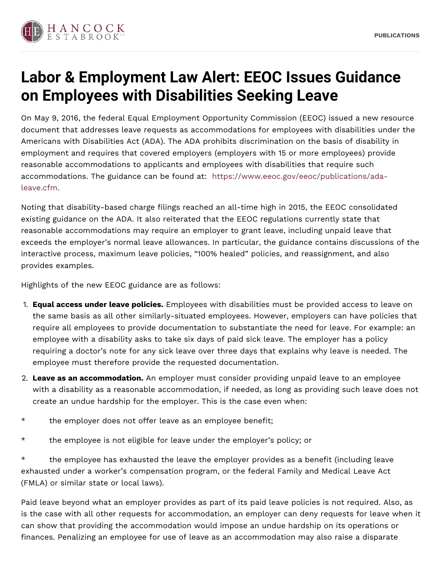

## **Labor & Employment Law Alert: EEOC Issues Guidance on Employees with Disabilities Seeking Leave**

On May 9, 2016, the federal Equal Employment Opportunity Commission (EEOC) issued a new resource document that addresses leave requests as accommodations for employees with disabilities under the Americans with Disabilities Act (ADA). The ADA prohibits discrimination on the basis of disability in employment and requires that covered employers (employers with 15 or more employees) provide reasonable accommodations to applicants and employees with disabilities that require such accommodations. The guidance can be found at: [https://www.eeoc.gov/eeoc/publications/ada](https://www.eeoc.gov/eeoc/publications/ada-leave.cfm.)leave.cfm.

Noting that disability-based charge filings reached an all-time high in 2015, the EEOC consolidated existing guidance on the ADA. It also reiterated that the EEOC regulations currently state that reasonable accommodations may require an employer to grant leave, including unpaid leave that exceeds the employer's normal leave allowances. In particular, the guidance contains discussions of the interactive process, maximum leave policies, "100% healed" policies, and reassignment, and also provides examples.

Highlights of the new EEOC guidance are as follows:

- 1. **Equal access under leave policies.** Employees with disabilities must be provided access to leave on the same basis as all other similarly-situated employees. However, employers can have policies that require all employees to provide documentation to substantiate the need for leave. For example: an employee with a disability asks to take six days of paid sick leave. The employer has a policy requiring a doctor's note for any sick leave over three days that explains why leave is needed. The employee must therefore provide the requested documentation.
- 2. **Leave as an accommodation.** An employer must consider providing unpaid leave to an employee with a disability as a reasonable accommodation, if needed, as long as providing such leave does not create an undue hardship for the employer. This is the case even when:
- \* the employer does not offer leave as an employee benefit;
- \* the employee is not eligible for leave under the employer's policy; or

\* the employee has exhausted the leave the employer provides as a benefit (including leave exhausted under a worker's compensation program, or the federal Family and Medical Leave Act (FMLA) or similar state or local laws).

Paid leave beyond what an employer provides as part of its paid leave policies is not required. Also, as is the case with all other requests for accommodation, an employer can deny requests for leave when it can show that providing the accommodation would impose an undue hardship on its operations or finances. Penalizing an employee for use of leave as an accommodation may also raise a disparate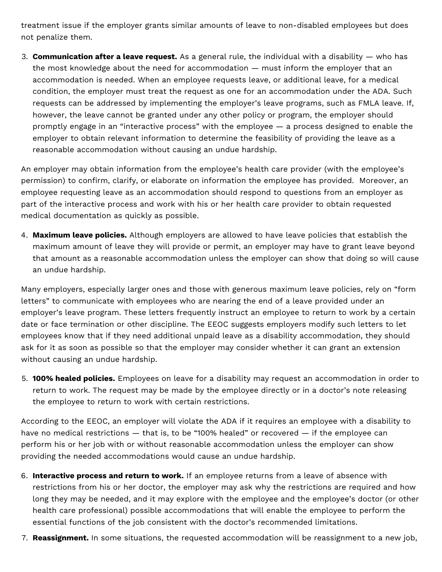treatment issue if the employer grants similar amounts of leave to non-disabled employees but does not penalize them.

3. **Communication after a leave request.** As a general rule, the individual with a disability — who has the most knowledge about the need for accommodation — must inform the employer that an accommodation is needed. When an employee requests leave, or additional leave, for a medical condition, the employer must treat the request as one for an accommodation under the ADA. Such requests can be addressed by implementing the employer's leave programs, such as FMLA leave. If, however, the leave cannot be granted under any other policy or program, the employer should promptly engage in an "interactive process" with the employee — a process designed to enable the employer to obtain relevant information to determine the feasibility of providing the leave as a reasonable accommodation without causing an undue hardship.

An employer may obtain information from the employee's health care provider (with the employee's permission) to confirm, clarify, or elaborate on information the employee has provided. Moreover, an employee requesting leave as an accommodation should respond to questions from an employer as part of the interactive process and work with his or her health care provider to obtain requested medical documentation as quickly as possible.

4. **Maximum leave policies.** Although employers are allowed to have leave policies that establish the maximum amount of leave they will provide or permit, an employer may have to grant leave beyond that amount as a reasonable accommodation unless the employer can show that doing so will cause an undue hardship.

Many employers, especially larger ones and those with generous maximum leave policies, rely on "form letters" to communicate with employees who are nearing the end of a leave provided under an employer's leave program. These letters frequently instruct an employee to return to work by a certain date or face termination or other discipline. The EEOC suggests employers modify such letters to let employees know that if they need additional unpaid leave as a disability accommodation, they should ask for it as soon as possible so that the employer may consider whether it can grant an extension without causing an undue hardship.

5. **100% healed policies.** Employees on leave for a disability may request an accommodation in order to return to work. The request may be made by the employee directly or in a doctor's note releasing the employee to return to work with certain restrictions.

According to the EEOC, an employer will violate the ADA if it requires an employee with a disability to have no medical restrictions — that is, to be "100% healed" or recovered — if the employee can perform his or her job with or without reasonable accommodation unless the employer can show providing the needed accommodations would cause an undue hardship.

- 6. **Interactive process and return to work.** If an employee returns from a leave of absence with restrictions from his or her doctor, the employer may ask why the restrictions are required and how long they may be needed, and it may explore with the employee and the employee's doctor (or other health care professional) possible accommodations that will enable the employee to perform the essential functions of the job consistent with the doctor's recommended limitations.
- 7. **Reassignment.** In some situations, the requested accommodation will be reassignment to a new job,